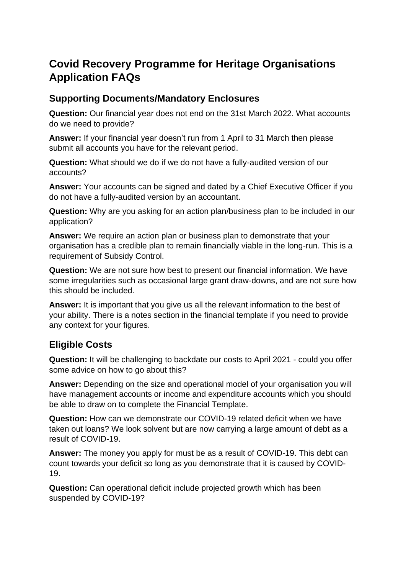## **Covid Recovery Programme for Heritage Organisations Application FAQs**

## **Supporting Documents/Mandatory Enclosures**

**Question:** Our financial year does not end on the 31st March 2022. What accounts do we need to provide?

**Answer:** If your financial year doesn't run from 1 April to 31 March then please submit all accounts you have for the relevant period.

**Question:** What should we do if we do not have a fully-audited version of our accounts?

**Answer:** Your accounts can be signed and dated by a Chief Executive Officer if you do not have a fully-audited version by an accountant.

**Question:** Why are you asking for an action plan/business plan to be included in our application?

**Answer:** We require an action plan or business plan to demonstrate that your organisation has a credible plan to remain financially viable in the long-run. This is a requirement of Subsidy Control.

**Question:** We are not sure how best to present our financial information. We have some irregularities such as occasional large grant draw-downs, and are not sure how this should be included.

**Answer:** It is important that you give us all the relevant information to the best of your ability. There is a notes section in the financial template if you need to provide any context for your figures.

## **Eligible Costs**

**Question:** It will be challenging to backdate our costs to April 2021 - could you offer some advice on how to go about this?

**Answer:** Depending on the size and operational model of your organisation you will have management accounts or income and expenditure accounts which you should be able to draw on to complete the Financial Template.

**Question:** How can we demonstrate our COVID-19 related deficit when we have taken out loans? We look solvent but are now carrying a large amount of debt as a result of COVID-19.

**Answer:** The money you apply for must be as a result of COVID-19. This debt can count towards your deficit so long as you demonstrate that it is caused by COVID-19.

**Question:** Can operational deficit include projected growth which has been suspended by COVID-19?